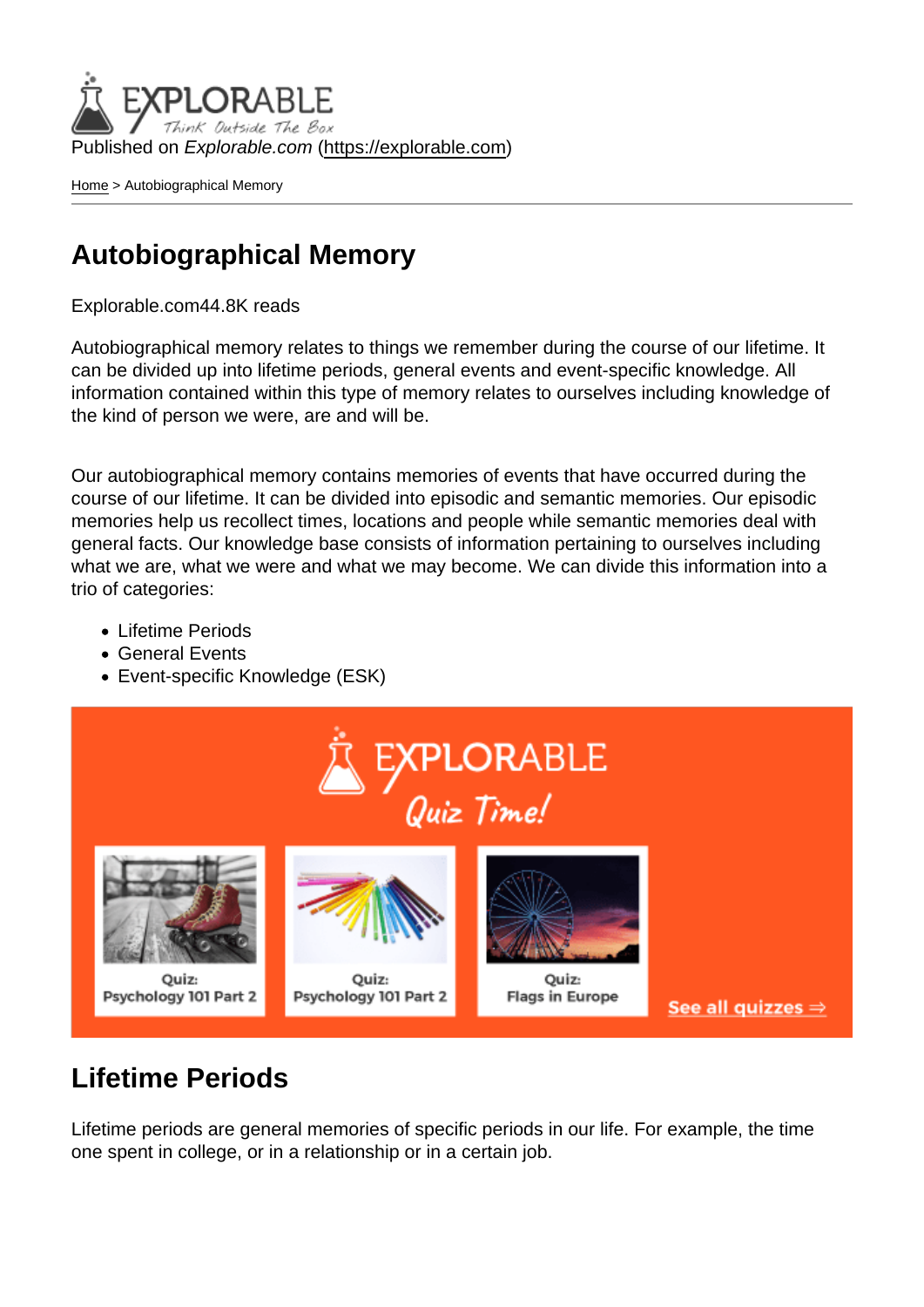Published on Explorable.com (<https://explorable.com>)

[Home](https://explorable.com/) > Autobiographical Memory

#### Autobiographical Memory

Explorable.com44.8K reads

Autobiographical memory relates to things we remember during the course of our lifetime. It can be divided up into lifetime periods, general events and event-specific knowledge. All information contained within this type of memory relates to ourselves including knowledge of the kind of person we were, are and will be.

Our autobiographical memory contains memories of events that have occurred during the course of our lifetime. It can be divided into episodic and semantic memories. Our episodic memories help us recollect times, locations and people while semantic memories deal with general facts. Our knowledge base consists of information pertaining to ourselves including what we are, what we were and what we may become. We can divide this information into a trio of categories:

- Lifetime Periods
- General Events
- Event-specific Knowledge (ESK)

#### Lifetime Periods

Lifetime periods are general memories of specific periods in our life. For example, the time one spent in college, or in a relationship or in a certain job.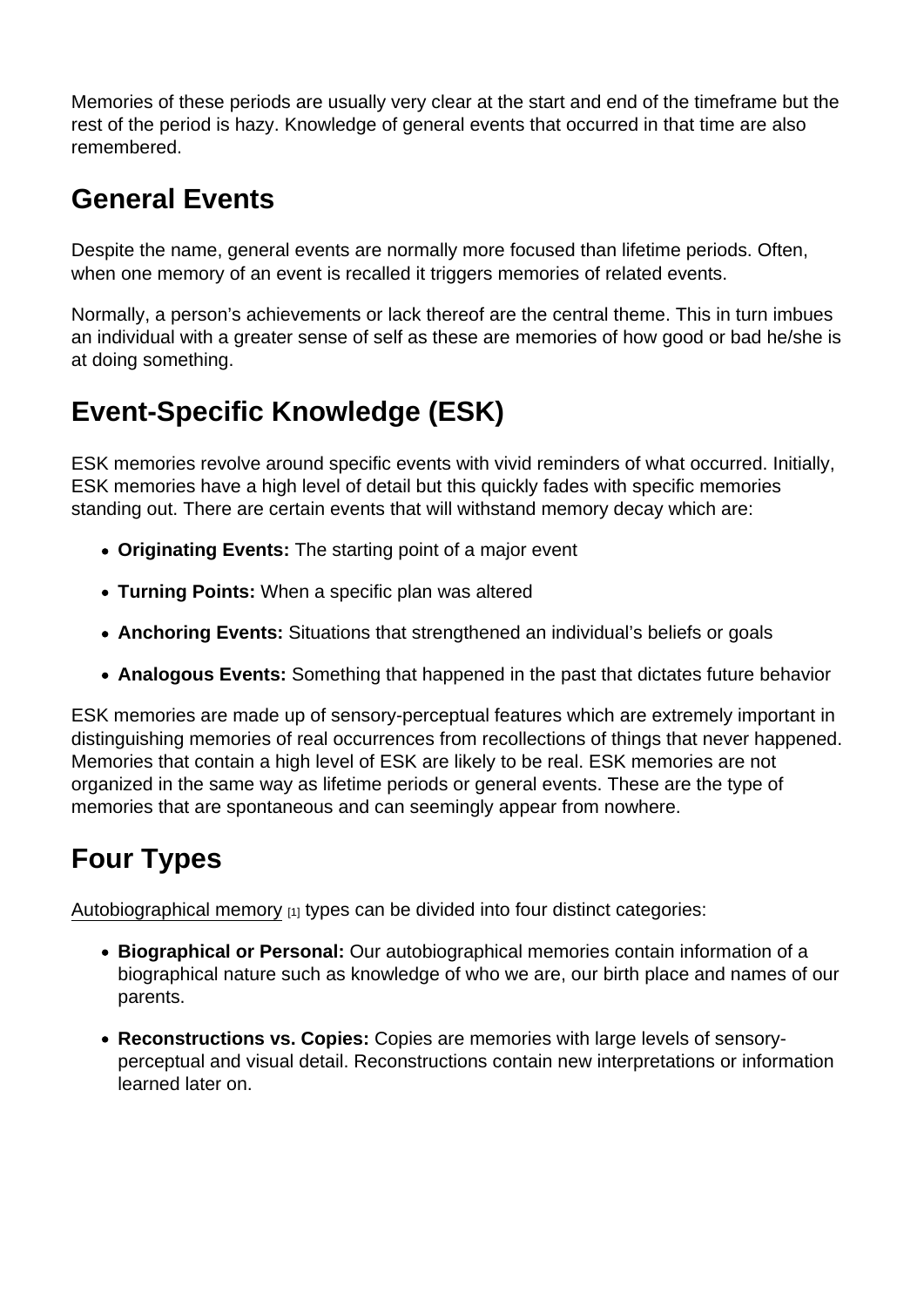Memories of these periods are usually very clear at the start and end of the timeframe but the rest of the period is hazy. Knowledge of general events that occurred in that time are also remembered.

# General Events

Despite the name, general events are normally more focused than lifetime periods. Often, when one memory of an event is recalled it triggers memories of related events.

Normally, a person's achievements or lack thereof are the central theme. This in turn imbues an individual with a greater sense of self as these are memories of how good or bad he/she is at doing something.

# Event-Specific Knowledge (ESK)

ESK memories revolve around specific events with vivid reminders of what occurred. Initially, ESK memories have a high level of detail but this quickly fades with specific memories standing out. There are certain events that will withstand memory decay which are:

- Originating Events: The starting point of a major event
- Turning Points: When a specific plan was altered
- Anchoring Events: Situations that strengthened an individual's beliefs or goals
- Analogous Events: Something that happened in the past that dictates future behavior

ESK memories are made up of sensory-perceptual features which are extremely important in distinguishing memories of real occurrences from recollections of things that never happened. Memories that contain a high level of ESK are likely to be real. ESK memories are not organized in the same way as lifetime periods or general events. These are the type of memories that are spontaneous and can seemingly appear from nowhere.

### Four Types

[Autobiographical memory](http://bps-research-digest.blogspot.com/2011/01/how-is-autobiographical-memory-divided) [1] types can be divided into four distinct categories:

- Biographical or Personal: Our autobiographical memories contain information of a biographical nature such as knowledge of who we are, our birth place and names of our parents.
- Reconstructions vs. Copies: Copies are memories with large levels of sensoryperceptual and visual detail. Reconstructions contain new interpretations or information learned later on.